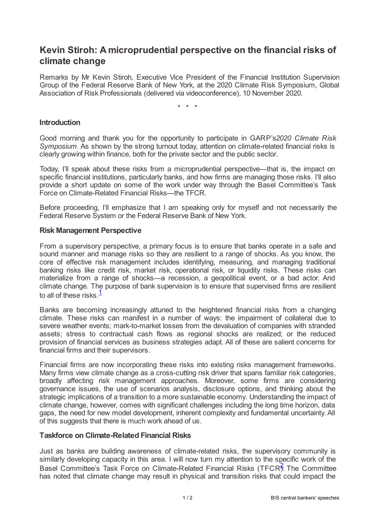# **Kevin Stiroh: A microprudential perspective on the financial risks of climate change**

Remarks by Mr Kevin Stiroh, Executive Vice President of the Financial Institution Supervision Group of the Federal Reserve Bank of New York, at the 2020 Climate Risk Symposium, Global Association of Risk Professionals (delivered via videoconference), 10 November 2020.

\* \* \*

### **Introduction**

Good morning and thank you for the opportunity to participate in GARP's*2020 Climate Risk Symposium*. As shown by the strong turnout today, attention on climate-related financial risks is clearly growing within finance, both for the private sector and the public sector.

Today, I'll speak about these risks from a microprudential perspective—that is, the impact on specific financial institutions, particularly banks, and how firms are managing those risks. I'll also provide a short update on some of the work under way through the Basel Committee's Task Force on Climate-Related Financial Risks—the TFCR.

Before proceeding, I'll emphasize that I am speaking only for myself and not necessarily the Federal Reserve System or the Federal Reserve Bank of New York.

#### **Risk Management Perspective**

From a supervisory perspective, a primary focus is to ensure that banks operate in a safe and sound manner and manage risks so they are resilient to a range of shocks. As you know, the core of effective risk management includes identifying, measuring, and managing traditional banking risks like credit risk, market risk, operational risk, or liquidity risks. These risks can materialize from a range of shocks—a recession, a geopolitical event, or a bad actor. And climate change. The purpose of bank supervision is to ensure that supervised firms are resilient to all of these risks. $\frac{1}{2}$  $\frac{1}{2}$  $\frac{1}{2}$ 

<span id="page-0-0"></span>Banks are becoming increasingly attuned to the heightened financial risks from a changing climate. These risks can manifest in a number of ways: the impairment of collateral due to severe weather events; mark-to-market losses from the devaluation of companies with stranded assets; stress to contractual cash flows as regional shocks are realized; or the reduced provision of financial services as business strategies adapt. All of these are salient concerns for financial firms and their supervisors.

Financial firms are now incorporating these risks into existing risks management frameworks. Many firms view climate change as a cross-cutting risk driver that spans familiar risk categories, broadly affecting risk management approaches. Moreover, some firms are considering governance issues, the use of scenarios analysis, disclosure options, and thinking about the strategic implications of a transition to a more sustainable economy. Understanding the impact of climate change, however, comes with significant challenges including the long time horizon, data gaps, the need for new model development, inherent complexity and fundamental uncertainty. All of this suggests that there is much work ahead of us.

#### **Taskforce on Climate-Related Financial Risks**

<span id="page-0-1"></span>Just as banks are building awareness of climate-related risks, the supervisory community is similarly developing capacity in this area. I will now turn my attention to the specific work of the Basel Committee's Task Force on Climate-Related Financial Risks (TFCR3. The Committee has noted that climate change may result in physical and transition risks that could impact the